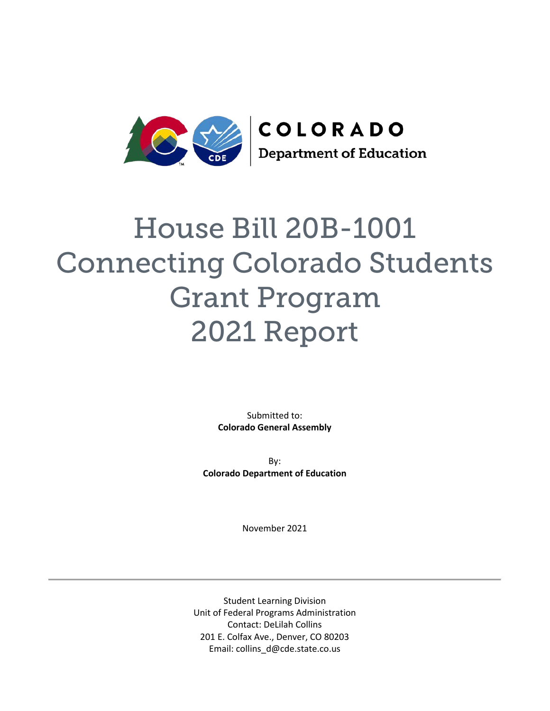

# House Bill 20B-1001 Connecting Colorado Students Grant Program 2021 Report

Submitted to: **Colorado General Assembly** 

By: **Colorado Department of Education** 

November 2021

Student Learning Division Unit of Federal Programs Administration Contact: DeLilah Collins 201 E. Colfax Ave., Denver, CO 80203 Email: collins\_d@cde.state.co.us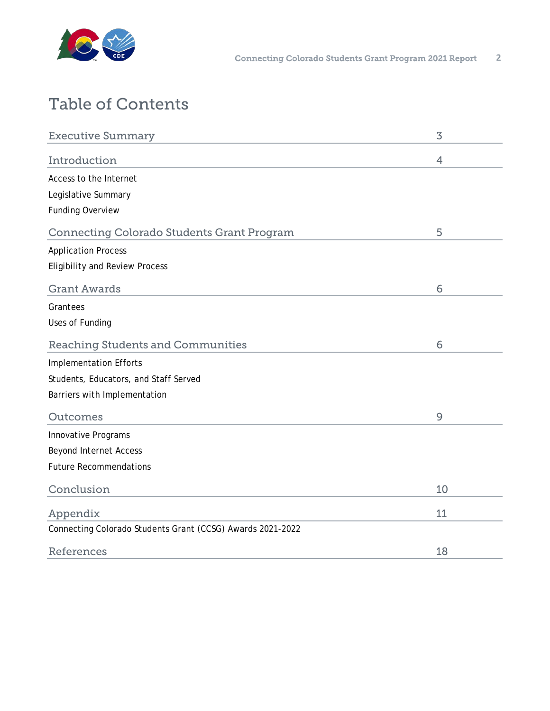

# Table of Contents

| <b>Executive Summary</b>                                   | 3  |
|------------------------------------------------------------|----|
| Introduction                                               | 4  |
| Access to the Internet                                     |    |
| Legislative Summary                                        |    |
| <b>Funding Overview</b>                                    |    |
| <b>Connecting Colorado Students Grant Program</b>          | 5  |
| <b>Application Process</b>                                 |    |
| <b>Eligibility and Review Process</b>                      |    |
| <b>Grant Awards</b>                                        | 6  |
| Grantees                                                   |    |
| Uses of Funding                                            |    |
| <b>Reaching Students and Communities</b>                   | 6  |
| <b>Implementation Efforts</b>                              |    |
| Students, Educators, and Staff Served                      |    |
| Barriers with Implementation                               |    |
| Outcomes                                                   | 9  |
| Innovative Programs                                        |    |
| <b>Beyond Internet Access</b>                              |    |
| <b>Future Recommendations</b>                              |    |
| Conclusion                                                 | 10 |
| Appendix                                                   | 11 |
| Connecting Colorado Students Grant (CCSG) Awards 2021-2022 |    |
| References                                                 | 18 |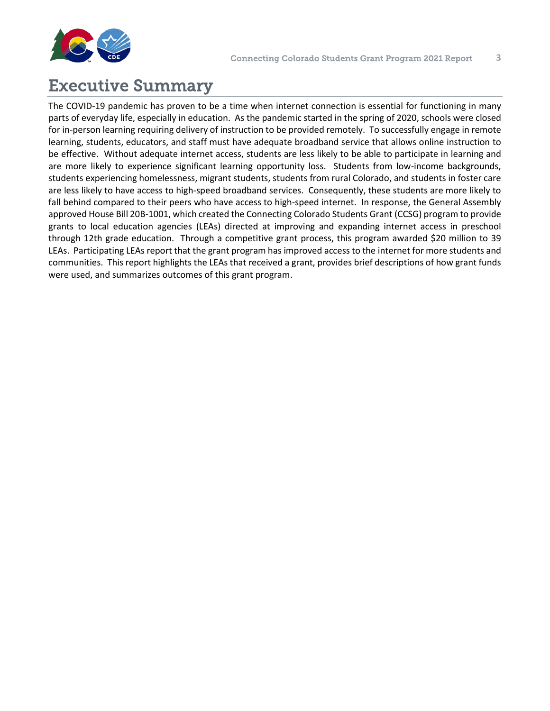<span id="page-2-0"></span>

## Executive Summary

The COVID-19 pandemic has proven to be a time when internet connection is essential for functioning in many parts of everyday life, especially in education. As the pandemic started in the spring of 2020, schools were closed for in-person learning requiring delivery of instruction to be provided remotely. To successfully engage in remote learning, students, educators, and staff must have adequate broadband service that allows online instruction to be effective. Without adequate internet access, students are less likely to be able to participate in learning and are more likely to experience significant learning opportunity loss. Students from low-income backgrounds, students experiencing homelessness, migrant students, students from rural Colorado, and students in foster care are less likely to have access to high-speed broadband services. Consequently, these students are more likely to fall behind compared to their peers who have access to high-speed internet. In response, the General Assembly approved House Bill 20B-1001, which created the Connecting Colorado Students Grant (CCSG) program to provide grants to local education agencies (LEAs) directed at improving and expanding internet access in preschool through 12th grade education. Through a competitive grant process, this program awarded \$20 million to 39 LEAs. Participating LEAs report that the grant program has improved access to the internet for more students and communities. This report highlights the LEAs that received a grant, provides brief descriptions of how grant funds were used, and summarizes outcomes of this grant program.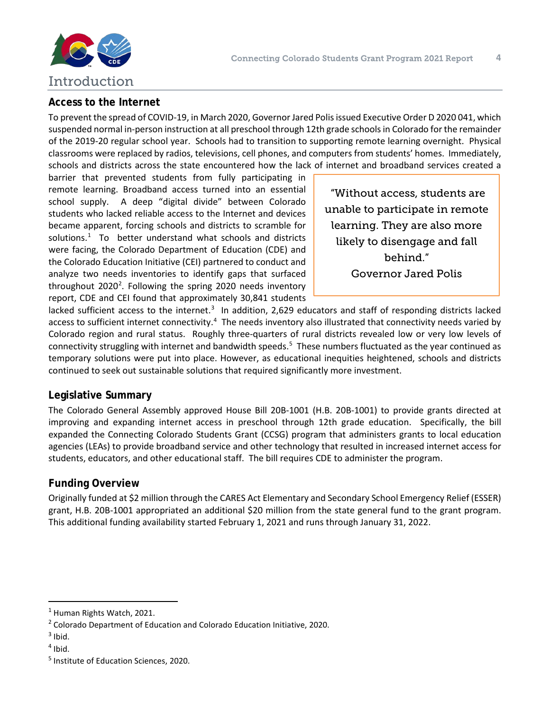<span id="page-3-0"></span>

#### **Access to the Internet**

To prevent the spread of COVID-19, in March 2020, Governor Jared Polis issued Executive Order D 2020 041, which suspended normal in-person instruction at all preschool through 12th grade schools in Colorado for the remainder of the 2019-20 regular school year. Schools had to transition to supporting remote learning overnight. Physical classrooms were replaced by radios, televisions, cell phones, and computers from students' homes. Immediately, schools and districts across the state encountered how the lack of internet and broadband services created a

barrier that prevented students from fully participating in remote learning. Broadband access turned into an essential school supply. A deep "digital divide" between Colorado students who lacked reliable access to the Internet and devices became apparent, forcing schools and districts to scramble for solutions. $1$  To better understand what schools and districts were facing, the Colorado Department of Education (CDE) and the Colorado Education Initiative (CEI) partnered to conduct and analyze two needs inventories to identify gaps that surfaced throughout [2](#page-3-2)020<sup>2</sup>. Following the spring 2020 needs inventory report, CDE and CEI found that approximately 30,841 students

"Without access, students are unable to participate in remote learning. They are also more likely to disengage and fall behind." Governor Jared Polis

lacked sufficient access to the internet.<sup>[3](#page-3-3)</sup> In addition, 2,629 educators and staff of responding districts lacked access to sufficient internet connectivity.<sup>[4](#page-3-4)</sup> The needs inventory also illustrated that connectivity needs varied by Colorado region and rural status. Roughly three-quarters of rural districts revealed low or very low levels of connectivity struggling with internet and bandwidth speeds.<sup>[5](#page-3-5)</sup> These numbers fluctuated as the year continued as temporary solutions were put into place. However, as educational inequities heightened, schools and districts continued to seek out sustainable solutions that required significantly more investment.

#### **Legislative Summary**

The Colorado General Assembly approved House Bill 20B-1001 (H.B. 20B-1001) to provide grants directed at improving and expanding internet access in preschool through 12th grade education. Specifically, the bill expanded the Connecting Colorado Students Grant (CCSG) program that administers grants to local education agencies (LEAs) to provide broadband service and other technology that resulted in increased internet access for students, educators, and other educational staff. The bill requires CDE to administer the program.

#### **Funding Overview**

Originally funded at \$2 million through the CARES Act Elementary and Secondary School Emergency Relief (ESSER) grant, H.B. 20B-1001 appropriated an additional \$20 million from the state general fund to the grant program. This additional funding availability started February 1, 2021 and runs through January 31, 2022.

<span id="page-3-1"></span><sup>1</sup> Human Rights Watch, 2021.

<span id="page-3-2"></span><sup>2</sup> Colorado Department of Education and Colorado Education Initiative, 2020.

<span id="page-3-3"></span> $3$  Ibid.

<span id="page-3-4"></span> $<sup>4</sup>$  Ibid.</sup>

<span id="page-3-5"></span><sup>5</sup> Institute of Education Sciences, 2020.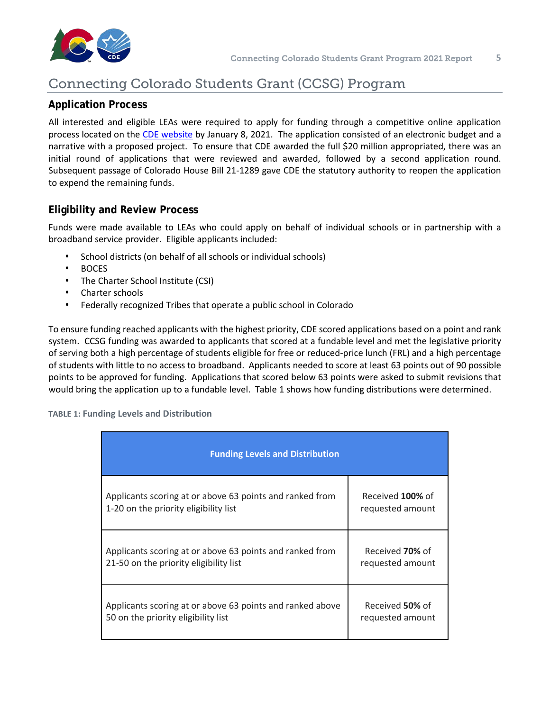<span id="page-4-0"></span>

## Connecting Colorado Students Grant (CCSG) Program

#### **Application Process**

All interested and eligible LEAs were required to apply for funding through a competitive online application process located on th[e CDE website](https://www.cde.state.co.us/caresact/ccsgapplication) by January 8, 2021. The application consisted of an electronic budget and a narrative with a proposed project. To ensure that CDE awarded the full \$20 million appropriated, there was an initial round of applications that were reviewed and awarded, followed by a second application round. Subsequent passage of Colorado House Bill 21-1289 gave CDE the statutory authority to reopen the application to expend the remaining funds.

#### **Eligibility and Review Process**

Funds were made available to LEAs who could apply on behalf of individual schools or in partnership with a broadband service provider. Eligible applicants included:

- School districts (on behalf of all schools or individual schools)
- BOCES
- The Charter School Institute (CSI)
- Charter schools
- Federally recognized Tribes that operate a public school in Colorado

To ensure funding reached applicants with the highest priority, CDE scored applications based on a point and rank system. CCSG funding was awarded to applicants that scored at a fundable level and met the legislative priority of serving both a high percentage of students eligible for free or reduced-price lunch (FRL) and a high percentage of students with little to no access to broadband. Applicants needed to score at least 63 points out of 90 possible points to be approved for funding. Applications that scored below 63 points were asked to submit revisions that would bring the application up to a fundable level. Table 1 shows how funding distributions were determined.

**TABLE 1: Funding Levels and Distribution** 

| <b>Funding Levels and Distribution</b>                    |                  |  |  |  |  |  |
|-----------------------------------------------------------|------------------|--|--|--|--|--|
| Applicants scoring at or above 63 points and ranked from  | Received 100% of |  |  |  |  |  |
| 1-20 on the priority eligibility list                     | requested amount |  |  |  |  |  |
| Applicants scoring at or above 63 points and ranked from  | Received 70% of  |  |  |  |  |  |
| 21-50 on the priority eligibility list                    | requested amount |  |  |  |  |  |
| Applicants scoring at or above 63 points and ranked above | Received 50% of  |  |  |  |  |  |
| 50 on the priority eligibility list                       | requested amount |  |  |  |  |  |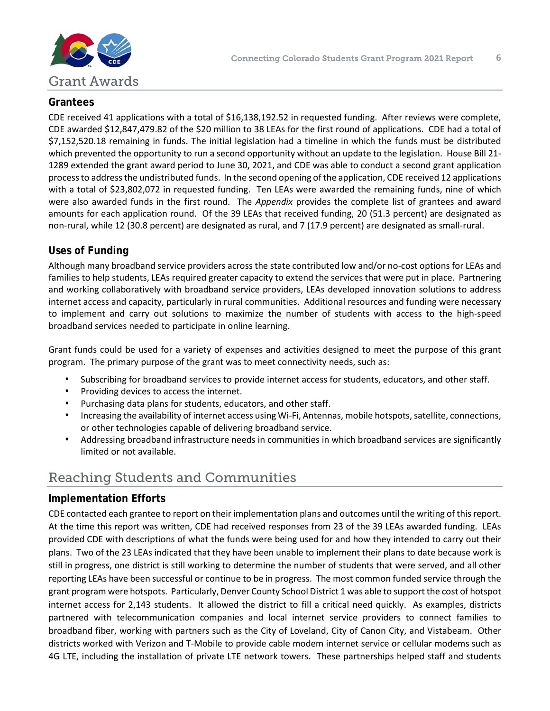<span id="page-5-0"></span>

#### **Grantees**

CDE received 41 applications with a total of \$16,138,192.52 in requested funding. After reviews were complete, CDE awarded \$12,847,479.82 of the \$20 million to 38 LEAs for the first round of applications. CDE had a total of \$7,152,520.18 remaining in funds. The initial legislation had a timeline in which the funds must be distributed which prevented the opportunity to run a second opportunity without an update to the legislation. House Bill 21-1289 extended the grant award period to June 30, 2021, and CDE was able to conduct a second grant application process to address the undistributed funds. In the second opening of the application, CDE received 12 applications with a total of \$23,802,072 in requested funding. Ten LEAs were awarded the remaining funds, nine of which were also awarded funds in the first round. The *Appendix* provides the complete list of grantees and award amounts for each application round. Of the 39 LEAs that received funding, 20 (51.3 percent) are designated as non-rural, while 12 (30.8 percent) are designated as rural, and 7 (17.9 percent) are designated as small-rural.

#### **Uses of Funding**

Although many broadband service providers across the state contributed low and/or no-cost options for LEAs and families to help students, LEAs required greater capacity to extend the services that were put in place. Partnering and working collaboratively with broadband service providers, LEAs developed innovation solutions to address internet access and capacity, particularly in rural communities. Additional resources and funding were necessary to implement and carry out solutions to maximize the number of students with access to the high-speed broadband services needed to participate in online learning.

Grant funds could be used for a variety of expenses and activities designed to meet the purpose of this grant program. The primary purpose of the grant was to meet connectivity needs, such as:

- Subscribing for broadband services to provide internet access for students, educators, and other staff.
- Providing devices to access the internet.
- Purchasing data plans for students, educators, and other staff.
- Increasing the availability of internet access using Wi-Fi, Antennas, mobile hotspots, satellite, connections, or other technologies capable of delivering broadband service.
- Addressing broadband infrastructure needs in communities in which broadband services are significantly limited or not available.

## Reaching Students and Communities

#### **Implementation Efforts**

CDE contacted each grantee to report on their implementation plans and outcomes until the writing of this report. At the time this report was written, CDE had received responses from 23 of the 39 LEAs awarded funding. LEAs provided CDE with descriptions of what the funds were being used for and how they intended to carry out their plans. Two of the 23 LEAs indicated that they have been unable to implement their plans to date because work is still in progress, one district is still working to determine the number of students that were served, and all other reporting LEAs have been successful or continue to be in progress. The most common funded service through the grant program were hotspots. Particularly, Denver County School District 1 was able to support the cost of hotspot internet access for 2,143 students. It allowed the district to fill a critical need quickly. As examples, districts partnered with telecommunication companies and local internet service providers to connect families to broadband fiber, working with partners such as the City of Loveland, City of Canon City, and Vistabeam. Other districts worked with Verizon and T-Mobile to provide cable modem internet service or cellular modems such as 4G LTE, including the installation of private LTE network towers. These partnerships helped staff and students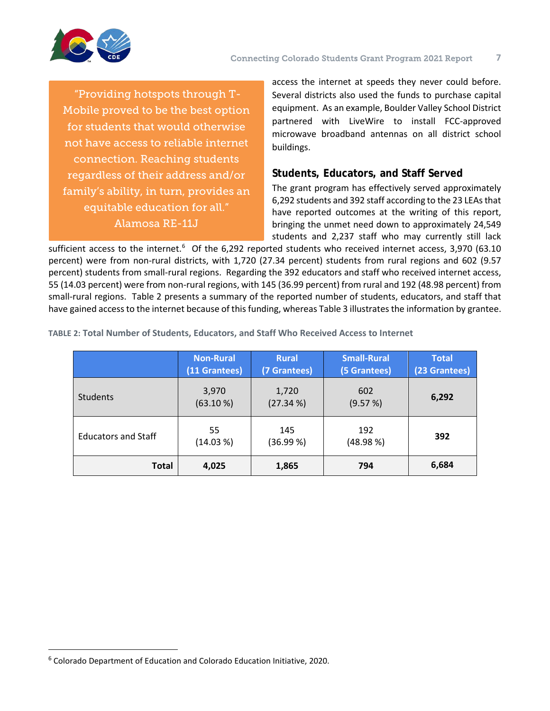<span id="page-6-0"></span>

"Providing hotspots through T-Mobile proved to be the best option for students that would otherwise not have access to reliable internet connection. Reaching students regardless of their address and/or family's ability, in turn, provides an equitable education for all." Alamosa RE-11J

access the internet at speeds they never could before. Several districts also used the funds to purchase capital equipment. As an example, Boulder Valley School District partnered with LiveWire to install FCC-approved microwave broadband antennas on all district school buildings.

#### **Students, Educators, and Staff Served**

The grant program has effectively served approximately 6,292 students and 392 staff according to the 23 LEAs that have reported outcomes at the writing of this report, bringing the unmet need down to approximately 24,549 students and 2,237 staff who may currently still lack

sufficient access to the internet.<sup>[6](#page-6-1)</sup> Of the 6,292 reported students who received internet access, 3,970 (63.10 percent) were from non-rural districts, with 1,720 (27.34 percent) students from rural regions and 602 (9.57 percent) students from small-rural regions. Regarding the 392 educators and staff who received internet access, 55 (14.03 percent) were from non-rural regions, with 145 (36.99 percent) from rural and 192 (48.98 percent) from small-rural regions. Table 2 presents a summary of the reported number of students, educators, and staff that have gained access to the internet because of this funding, whereas Table 3 illustrates the information by grantee.

|                            | <b>Non-Rural</b><br>(11 Grantees) | <b>Rural</b><br>(7 Grantees) | <b>Small-Rural</b><br>(5 Grantees) | <b>Total</b><br>(23 Grantees) |
|----------------------------|-----------------------------------|------------------------------|------------------------------------|-------------------------------|
| <b>Students</b>            | 3,970<br>(63.10 %)                | 1,720<br>(27.34 %)           | 602<br>(9.57%)                     | 6,292                         |
| <b>Educators and Staff</b> | 55<br>(14.03 %)                   | 145<br>(36.99%)              | 192<br>(48.98%)                    | 392                           |
| <b>Total</b>               | 4,025                             | 1,865                        | 794                                | 6,684                         |

**TABLE 2: Total Number of Students, Educators, and Staff Who Received Access to Internet**

<span id="page-6-1"></span><sup>6</sup> Colorado Department of Education and Colorado Education Initiative, 2020.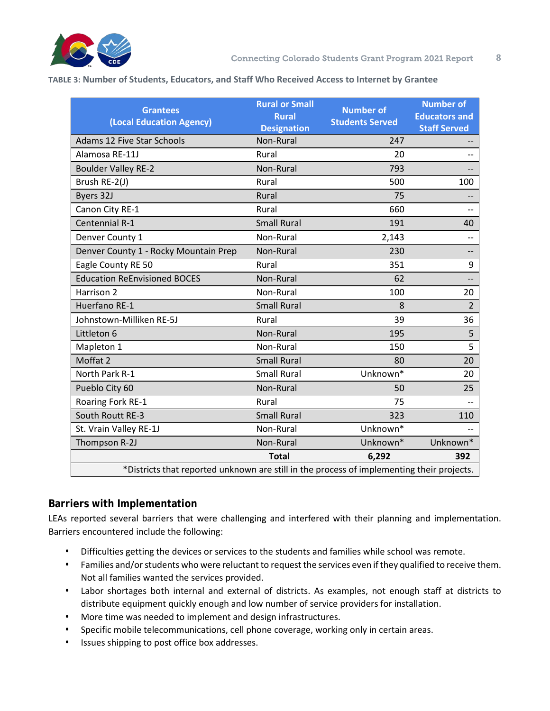

#### **TABLE 3: Number of Students, Educators, and Staff Who Received Access to Internet by Grantee**

| <b>Grantees</b><br>(Local Education Agency)                                               | <b>Rural or Small</b><br><b>Rural</b><br><b>Designation</b> | <b>Number of</b><br><b>Students Served</b> | <b>Number of</b><br><b>Educators and</b><br><b>Staff Served</b> |  |  |  |  |
|-------------------------------------------------------------------------------------------|-------------------------------------------------------------|--------------------------------------------|-----------------------------------------------------------------|--|--|--|--|
| Adams 12 Five Star Schools                                                                | Non-Rural                                                   | 247                                        |                                                                 |  |  |  |  |
| Alamosa RE-11J                                                                            | Rural                                                       | 20                                         |                                                                 |  |  |  |  |
| <b>Boulder Valley RE-2</b>                                                                | Non-Rural                                                   | 793                                        |                                                                 |  |  |  |  |
| Brush RE-2(J)                                                                             | Rural                                                       | 500                                        | 100                                                             |  |  |  |  |
| Byers 32J                                                                                 | Rural                                                       | 75                                         |                                                                 |  |  |  |  |
| Canon City RE-1                                                                           | Rural                                                       | 660                                        |                                                                 |  |  |  |  |
| Centennial R-1                                                                            | <b>Small Rural</b>                                          | 191                                        | 40                                                              |  |  |  |  |
| Denver County 1                                                                           | Non-Rural                                                   | 2,143                                      | --                                                              |  |  |  |  |
| Denver County 1 - Rocky Mountain Prep                                                     | Non-Rural                                                   | 230                                        | --                                                              |  |  |  |  |
| Eagle County RE 50                                                                        | Rural                                                       | 351                                        | 9                                                               |  |  |  |  |
| <b>Education ReEnvisioned BOCES</b>                                                       | Non-Rural                                                   | 62                                         |                                                                 |  |  |  |  |
| Harrison 2                                                                                | Non-Rural                                                   | 100                                        | 20                                                              |  |  |  |  |
| Huerfano RE-1                                                                             | <b>Small Rural</b>                                          | 8                                          | $\overline{2}$                                                  |  |  |  |  |
| Johnstown-Milliken RE-5J                                                                  | Rural                                                       | 39                                         | 36                                                              |  |  |  |  |
| Littleton 6                                                                               | Non-Rural                                                   | 195                                        | 5                                                               |  |  |  |  |
| Mapleton 1                                                                                | Non-Rural                                                   | 150                                        | 5                                                               |  |  |  |  |
| Moffat 2                                                                                  | <b>Small Rural</b>                                          | 80                                         | 20                                                              |  |  |  |  |
| North Park R-1                                                                            | <b>Small Rural</b>                                          | Unknown*                                   | 20                                                              |  |  |  |  |
| Pueblo City 60                                                                            | Non-Rural                                                   | 50                                         | 25                                                              |  |  |  |  |
| Roaring Fork RE-1                                                                         | Rural                                                       | 75                                         |                                                                 |  |  |  |  |
| South Routt RE-3                                                                          | <b>Small Rural</b>                                          | 323                                        | 110                                                             |  |  |  |  |
| St. Vrain Valley RE-1J                                                                    | Non-Rural                                                   | Unknown*                                   |                                                                 |  |  |  |  |
| Thompson R-2J                                                                             | Non-Rural                                                   | Unknown*                                   | Unknown*                                                        |  |  |  |  |
| <b>Total</b><br>6,292<br>392                                                              |                                                             |                                            |                                                                 |  |  |  |  |
| *Districts that reported unknown are still in the process of implementing their projects. |                                                             |                                            |                                                                 |  |  |  |  |

#### **Barriers with Implementation**

LEAs reported several barriers that were challenging and interfered with their planning and implementation. Barriers encountered include the following:

- Difficulties getting the devices or services to the students and families while school was remote.
- Families and/or students who were reluctant to request the services even if they qualified to receive them. Not all families wanted the services provided.
- Labor shortages both internal and external of districts. As examples, not enough staff at districts to distribute equipment quickly enough and low number of service providers for installation.
- More time was needed to implement and design infrastructures.
- Specific mobile telecommunications, cell phone coverage, working only in certain areas.
- Issues shipping to post office box addresses.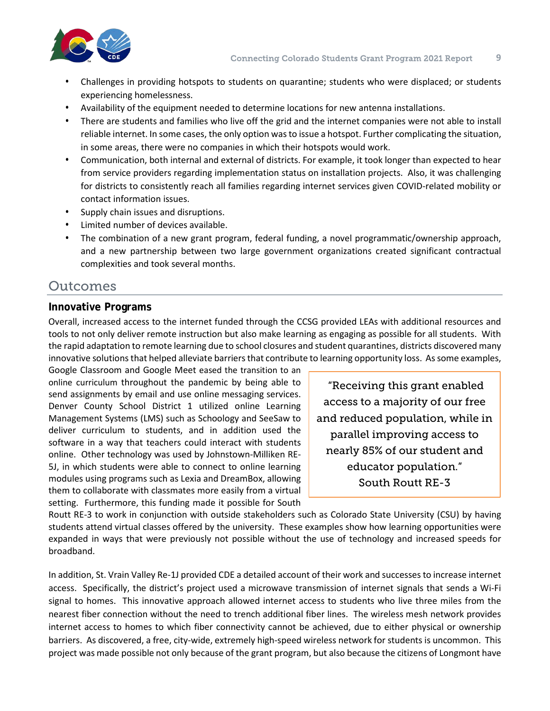<span id="page-8-0"></span>

- Challenges in providing hotspots to students on quarantine; students who were displaced; or students experiencing homelessness.
- Availability of the equipment needed to determine locations for new antenna installations.
- There are students and families who live off the grid and the internet companies were not able to install reliable internet. In some cases, the only option was to issue a hotspot. Further complicating the situation, in some areas, there were no companies in which their hotspots would work.
- Communication, both internal and external of districts. For example, it took longer than expected to hear from service providers regarding implementation status on installation projects. Also, it was challenging for districts to consistently reach all families regarding internet services given COVID-related mobility or contact information issues.
- Supply chain issues and disruptions.
- Limited number of devices available.
- The combination of a new grant program, federal funding, a novel programmatic/ownership approach, and a new partnership between two large government organizations created significant contractual complexities and took several months.

#### Outcomes

#### **Innovative Programs**

Overall, increased access to the internet funded through the CCSG provided LEAs with additional resources and tools to not only deliver remote instruction but also make learning as engaging as possible for all students. With the rapid adaptation to remote learning due to school closures and student quarantines, districts discovered many innovative solutions that helped alleviate barriers that contribute to learning opportunity loss. As some examples,

Google Classroom and Google Meet eased the transition to an online curriculum throughout the pandemic by being able to send assignments by email and use online messaging services. Denver County School District 1 utilized online Learning Management Systems (LMS) such as Schoology and SeeSaw to deliver curriculum to students, and in addition used the software in a way that teachers could interact with students online. Other technology was used by Johnstown-Milliken RE-5J, in which students were able to connect to online learning modules using programs such as Lexia and DreamBox, allowing them to collaborate with classmates more easily from a virtual setting. Furthermore, this funding made it possible for South

"Receiving this grant enabled access to a majority of our free and reduced population, while in parallel improving access to nearly 85% of our student and educator population." South Routt RE-3

Routt RE-3 to work in conjunction with outside stakeholders such as Colorado State University (CSU) by having students attend virtual classes offered by the university. These examples show how learning opportunities were expanded in ways that were previously not possible without the use of technology and increased speeds for broadband.

In addition, St. Vrain Valley Re-1J provided CDE a detailed account of their work and successes to increase internet access. Specifically, the district's project used a microwave transmission of internet signals that sends a Wi-Fi signal to homes. This innovative approach allowed internet access to students who live three miles from the nearest fiber connection without the need to trench additional fiber lines. The wireless mesh network provides internet access to homes to which fiber connectivity cannot be achieved, due to either physical or ownership barriers. As discovered, a free, city-wide, extremely high-speed wireless network for students is uncommon. This project was made possible not only because of the grant program, but also because the citizens of Longmont have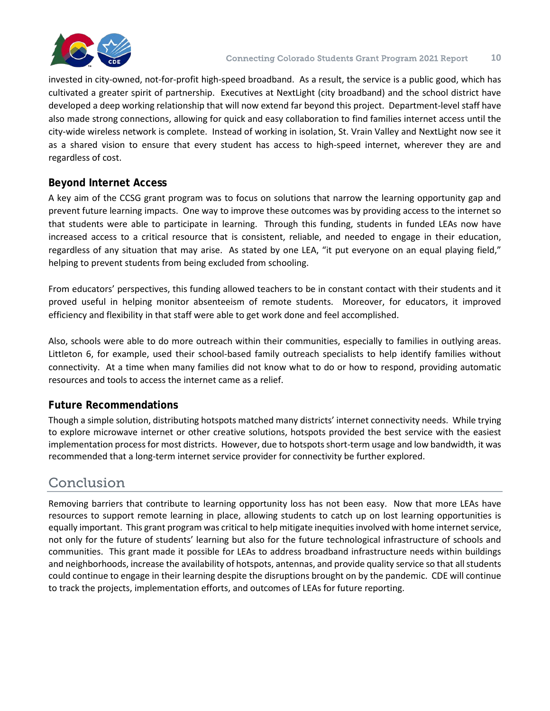<span id="page-9-0"></span>

invested in city-owned, not-for-profit high-speed broadband. As a result, the service is a public good, which has cultivated a greater spirit of partnership. Executives at NextLight (city broadband) and the school district have developed a deep working relationship that will now extend far beyond this project. Department-level staff have also made strong connections, allowing for quick and easy collaboration to find families internet access until the city-wide wireless network is complete. Instead of working in isolation, St. Vrain Valley and NextLight now see it as a shared vision to ensure that every student has access to high-speed internet, wherever they are and regardless of cost.

#### **Beyond Internet Access**

A key aim of the CCSG grant program was to focus on solutions that narrow the learning opportunity gap and prevent future learning impacts. One way to improve these outcomes was by providing access to the internet so that students were able to participate in learning. Through this funding, students in funded LEAs now have increased access to a critical resource that is consistent, reliable, and needed to engage in their education, regardless of any situation that may arise. As stated by one LEA, "it put everyone on an equal playing field," helping to prevent students from being excluded from schooling.

From educators' perspectives, this funding allowed teachers to be in constant contact with their students and it proved useful in helping monitor absenteeism of remote students. Moreover, for educators, it improved efficiency and flexibility in that staff were able to get work done and feel accomplished.

Also, schools were able to do more outreach within their communities, especially to families in outlying areas. Littleton 6, for example, used their school-based family outreach specialists to help identify families without connectivity. At a time when many families did not know what to do or how to respond, providing automatic resources and tools to access the internet came as a relief.

#### **Future Recommendations**

Though a simple solution, distributing hotspots matched many districts' internet connectivity needs. While trying to explore microwave internet or other creative solutions, hotspots provided the best service with the easiest implementation process for most districts. However, due to hotspots short-term usage and low bandwidth, it was recommended that a long-term internet service provider for connectivity be further explored.

## Conclusion

Removing barriers that contribute to learning opportunity loss has not been easy. Now that more LEAs have resources to support remote learning in place, allowing students to catch up on lost learning opportunities is equally important. This grant program was critical to help mitigate inequities involved with home internet service, not only for the future of students' learning but also for the future technological infrastructure of schools and communities. This grant made it possible for LEAs to address broadband infrastructure needs within buildings and neighborhoods, increase the availability of hotspots, antennas, and provide quality service so that all students could continue to engage in their learning despite the disruptions brought on by the pandemic. CDE will continue to track the projects, implementation efforts, and outcomes of LEAs for future reporting.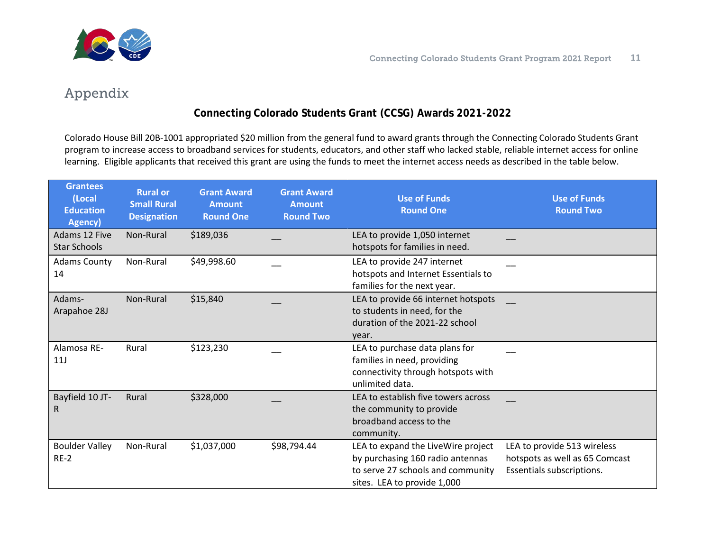<span id="page-10-0"></span>

## Appendix

#### **Connecting Colorado Students Grant (CCSG) Awards 2021-2022**

Colorado House Bill 20B-1001 appropriated \$20 million from the general fund to award grants through the Connecting Colorado Students Grant program to increase access to broadband services for students, educators, and other staff who lacked stable, reliable internet access for online learning. Eligible applicants that received this grant are using the funds to meet the internet access needs as described in the table below.

| <b>Grantees</b><br>(Local<br><b>Education</b><br>Agency) | <b>Rural or</b><br><b>Small Rural</b><br><b>Designation</b> | <b>Grant Award</b><br><b>Amount</b><br><b>Round One</b> | <b>Grant Award</b><br><b>Amount</b><br><b>Round Two</b> | <b>Use of Funds</b><br><b>Round One</b>                                                                                | <b>Use of Funds</b><br><b>Round Two</b> |
|----------------------------------------------------------|-------------------------------------------------------------|---------------------------------------------------------|---------------------------------------------------------|------------------------------------------------------------------------------------------------------------------------|-----------------------------------------|
| Adams 12 Five                                            | Non-Rural                                                   | \$189,036                                               |                                                         | LEA to provide 1,050 internet                                                                                          |                                         |
| <b>Star Schools</b>                                      |                                                             |                                                         |                                                         | hotspots for families in need.                                                                                         |                                         |
| <b>Adams County</b>                                      | Non-Rural                                                   | \$49,998.60                                             |                                                         | LEA to provide 247 internet                                                                                            |                                         |
| 14                                                       |                                                             |                                                         |                                                         | hotspots and Internet Essentials to                                                                                    |                                         |
|                                                          |                                                             |                                                         |                                                         | families for the next year.                                                                                            |                                         |
| Adams-                                                   | Non-Rural                                                   | \$15,840                                                |                                                         | LEA to provide 66 internet hotspots                                                                                    |                                         |
| Arapahoe 28J                                             |                                                             |                                                         |                                                         | to students in need, for the                                                                                           |                                         |
|                                                          |                                                             |                                                         |                                                         | duration of the 2021-22 school                                                                                         |                                         |
|                                                          |                                                             |                                                         |                                                         | year.                                                                                                                  |                                         |
| Alamosa RE-<br>11J                                       | Rural                                                       | \$123,230                                               |                                                         | LEA to purchase data plans for<br>families in need, providing<br>connectivity through hotspots with<br>unlimited data. |                                         |
| Bayfield 10 JT-                                          | Rural                                                       | \$328,000                                               |                                                         | LEA to establish five towers across                                                                                    |                                         |
| R                                                        |                                                             |                                                         |                                                         | the community to provide                                                                                               |                                         |
|                                                          |                                                             |                                                         |                                                         | broadband access to the                                                                                                |                                         |
|                                                          |                                                             |                                                         |                                                         | community.                                                                                                             |                                         |
| <b>Boulder Valley</b>                                    | Non-Rural                                                   | \$1,037,000                                             | \$98,794.44                                             | LEA to expand the LiveWire project                                                                                     | LEA to provide 513 wireless             |
| $RE-2$                                                   |                                                             |                                                         |                                                         | by purchasing 160 radio antennas                                                                                       | hotspots as well as 65 Comcast          |
|                                                          |                                                             |                                                         |                                                         | to serve 27 schools and community                                                                                      | Essentials subscriptions.               |
|                                                          |                                                             |                                                         |                                                         | sites. LEA to provide 1,000                                                                                            |                                         |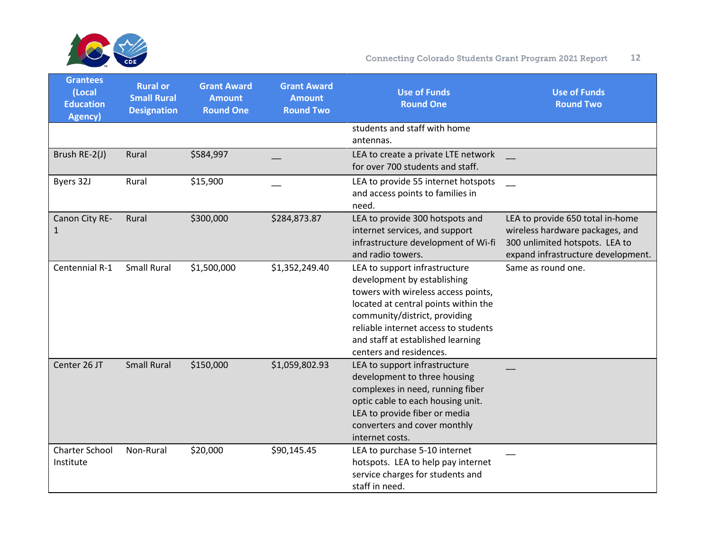

| <b>Grantees</b><br>(Local<br><b>Education</b><br>Agency) | <b>Rural or</b><br><b>Small Rural</b><br><b>Designation</b> | <b>Grant Award</b><br><b>Amount</b><br><b>Round One</b> | <b>Grant Award</b><br><b>Amount</b><br><b>Round Two</b> | <b>Use of Funds</b><br><b>Round One</b>                                                                                                                                                                                                                                              | <b>Use of Funds</b><br><b>Round Two</b>                                                                                                     |
|----------------------------------------------------------|-------------------------------------------------------------|---------------------------------------------------------|---------------------------------------------------------|--------------------------------------------------------------------------------------------------------------------------------------------------------------------------------------------------------------------------------------------------------------------------------------|---------------------------------------------------------------------------------------------------------------------------------------------|
|                                                          |                                                             |                                                         |                                                         | students and staff with home<br>antennas.                                                                                                                                                                                                                                            |                                                                                                                                             |
| Brush RE-2(J)                                            | Rural                                                       | \$584,997                                               |                                                         | LEA to create a private LTE network<br>for over 700 students and staff.                                                                                                                                                                                                              |                                                                                                                                             |
| Byers 32J                                                | Rural                                                       | \$15,900                                                |                                                         | LEA to provide 55 internet hotspots<br>and access points to families in<br>need.                                                                                                                                                                                                     |                                                                                                                                             |
| Canon City RE-<br>1                                      | Rural                                                       | \$300,000                                               | \$284,873.87                                            | LEA to provide 300 hotspots and<br>internet services, and support<br>infrastructure development of Wi-fi<br>and radio towers.                                                                                                                                                        | LEA to provide 650 total in-home<br>wireless hardware packages, and<br>300 unlimited hotspots. LEA to<br>expand infrastructure development. |
| Centennial R-1                                           | <b>Small Rural</b>                                          | \$1,500,000                                             | \$1,352,249.40                                          | LEA to support infrastructure<br>development by establishing<br>towers with wireless access points,<br>located at central points within the<br>community/district, providing<br>reliable internet access to students<br>and staff at established learning<br>centers and residences. | Same as round one.                                                                                                                          |
| Center 26 JT                                             | <b>Small Rural</b>                                          | \$150,000                                               | \$1,059,802.93                                          | LEA to support infrastructure<br>development to three housing<br>complexes in need, running fiber<br>optic cable to each housing unit.<br>LEA to provide fiber or media<br>converters and cover monthly<br>internet costs.                                                           |                                                                                                                                             |
| <b>Charter School</b><br>Institute                       | Non-Rural                                                   | \$20,000                                                | \$90,145.45                                             | LEA to purchase 5-10 internet<br>hotspots. LEA to help pay internet<br>service charges for students and<br>staff in need.                                                                                                                                                            |                                                                                                                                             |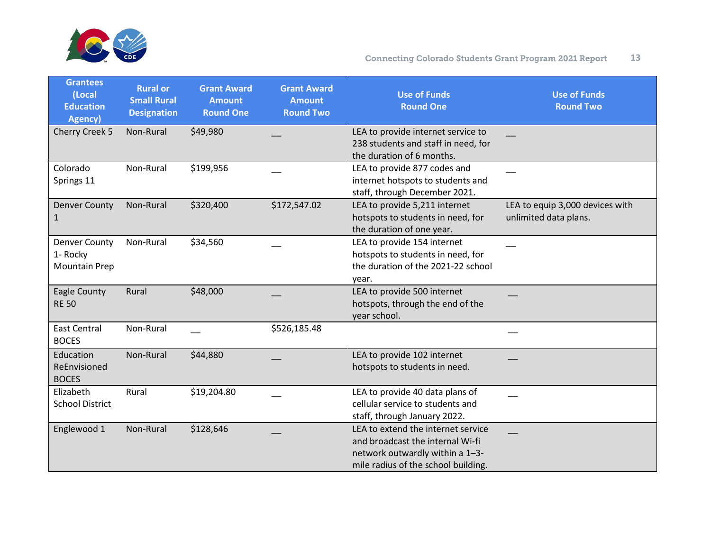

| <b>Grantees</b><br>(Local<br><b>Education</b><br>Agency) | <b>Rural or</b><br><b>Small Rural</b><br><b>Designation</b> | <b>Grant Award</b><br><b>Amount</b><br><b>Round One</b> | <b>Grant Award</b><br><b>Amount</b><br><b>Round Two</b> | <b>Use of Funds</b><br><b>Round One</b>                                                                                                          | <b>Use of Funds</b><br><b>Round Two</b>                  |
|----------------------------------------------------------|-------------------------------------------------------------|---------------------------------------------------------|---------------------------------------------------------|--------------------------------------------------------------------------------------------------------------------------------------------------|----------------------------------------------------------|
| Cherry Creek 5                                           | Non-Rural                                                   | \$49,980                                                |                                                         | LEA to provide internet service to<br>238 students and staff in need, for<br>the duration of 6 months.                                           |                                                          |
| Colorado<br>Springs 11                                   | Non-Rural                                                   | \$199,956                                               |                                                         | LEA to provide 877 codes and<br>internet hotspots to students and<br>staff, through December 2021.                                               |                                                          |
| <b>Denver County</b><br>1                                | Non-Rural                                                   | \$320,400                                               | \$172,547.02                                            | LEA to provide 5,211 internet<br>hotspots to students in need, for<br>the duration of one year.                                                  | LEA to equip 3,000 devices with<br>unlimited data plans. |
| <b>Denver County</b><br>1- Rocky<br><b>Mountain Prep</b> | Non-Rural                                                   | \$34,560                                                |                                                         | LEA to provide 154 internet<br>hotspots to students in need, for<br>the duration of the 2021-22 school<br>year.                                  |                                                          |
| Eagle County<br><b>RE 50</b>                             | Rural                                                       | \$48,000                                                |                                                         | LEA to provide 500 internet<br>hotspots, through the end of the<br>year school.                                                                  |                                                          |
| <b>East Central</b><br><b>BOCES</b>                      | Non-Rural                                                   |                                                         | \$526,185.48                                            |                                                                                                                                                  |                                                          |
| Education<br>ReEnvisioned<br><b>BOCES</b>                | Non-Rural                                                   | \$44,880                                                |                                                         | LEA to provide 102 internet<br>hotspots to students in need.                                                                                     |                                                          |
| Elizabeth<br><b>School District</b>                      | Rural                                                       | \$19,204.80                                             |                                                         | LEA to provide 40 data plans of<br>cellular service to students and<br>staff, through January 2022.                                              |                                                          |
| Englewood 1                                              | Non-Rural                                                   | \$128,646                                               |                                                         | LEA to extend the internet service<br>and broadcast the internal Wi-fi<br>network outwardly within a 1-3-<br>mile radius of the school building. |                                                          |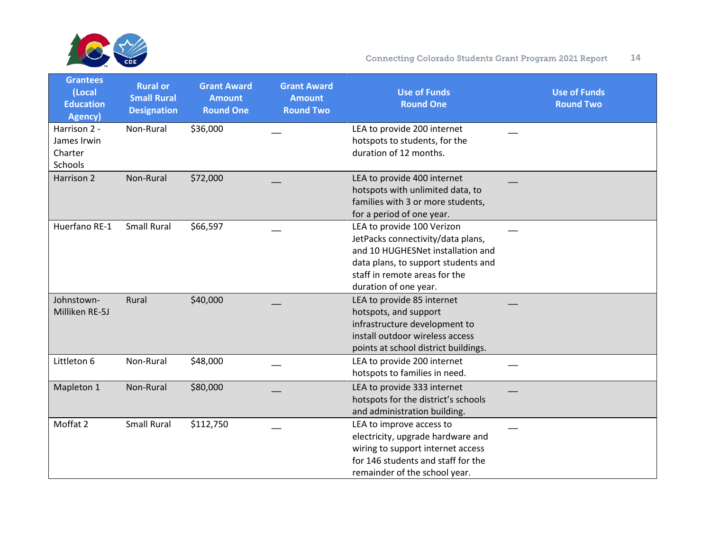

| <b>Grantees</b><br>(Local<br><b>Education</b><br><b>Agency</b> ) | <b>Rural or</b><br><b>Small Rural</b><br><b>Designation</b> | <b>Grant Award</b><br><b>Amount</b><br><b>Round One</b> | <b>Grant Award</b><br><b>Amount</b><br><b>Round Two</b> | <b>Use of Funds</b><br><b>Round One</b>                                                                                                                                                               | <b>Use of Funds</b><br><b>Round Two</b> |
|------------------------------------------------------------------|-------------------------------------------------------------|---------------------------------------------------------|---------------------------------------------------------|-------------------------------------------------------------------------------------------------------------------------------------------------------------------------------------------------------|-----------------------------------------|
| Harrison 2 -<br>James Irwin<br>Charter<br>Schools                | Non-Rural                                                   | \$36,000                                                |                                                         | LEA to provide 200 internet<br>hotspots to students, for the<br>duration of 12 months.                                                                                                                |                                         |
| Harrison 2                                                       | Non-Rural                                                   | \$72,000                                                |                                                         | LEA to provide 400 internet<br>hotspots with unlimited data, to<br>families with 3 or more students,<br>for a period of one year.                                                                     |                                         |
| Huerfano RE-1                                                    | <b>Small Rural</b>                                          | \$66,597                                                |                                                         | LEA to provide 100 Verizon<br>JetPacks connectivity/data plans,<br>and 10 HUGHESNet installation and<br>data plans, to support students and<br>staff in remote areas for the<br>duration of one year. |                                         |
| Johnstown-<br>Milliken RE-5J                                     | Rural                                                       | \$40,000                                                |                                                         | LEA to provide 85 internet<br>hotspots, and support<br>infrastructure development to<br>install outdoor wireless access<br>points at school district buildings.                                       |                                         |
| Littleton 6                                                      | Non-Rural                                                   | \$48,000                                                |                                                         | LEA to provide 200 internet<br>hotspots to families in need.                                                                                                                                          |                                         |
| Mapleton 1                                                       | Non-Rural                                                   | \$80,000                                                |                                                         | LEA to provide 333 internet<br>hotspots for the district's schools<br>and administration building.                                                                                                    |                                         |
| Moffat 2                                                         | <b>Small Rural</b>                                          | \$112,750                                               |                                                         | LEA to improve access to<br>electricity, upgrade hardware and<br>wiring to support internet access<br>for 146 students and staff for the<br>remainder of the school year.                             |                                         |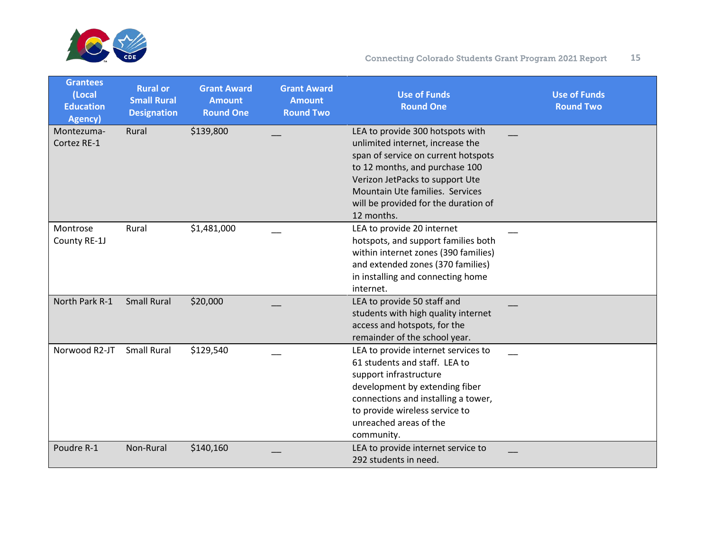

| <b>Grantees</b><br>(Local<br><b>Education</b><br>Agency) | <b>Rural or</b><br><b>Small Rural</b><br><b>Designation</b> | <b>Grant Award</b><br><b>Amount</b><br><b>Round One</b> | <b>Grant Award</b><br><b>Amount</b><br><b>Round Two</b> | <b>Use of Funds</b><br><b>Round One</b>                                                                                                                                                                                                                                   | <b>Use of Funds</b><br><b>Round Two</b> |
|----------------------------------------------------------|-------------------------------------------------------------|---------------------------------------------------------|---------------------------------------------------------|---------------------------------------------------------------------------------------------------------------------------------------------------------------------------------------------------------------------------------------------------------------------------|-----------------------------------------|
| Montezuma-<br>Cortez RE-1                                | Rural                                                       | \$139,800                                               |                                                         | LEA to provide 300 hotspots with<br>unlimited internet, increase the<br>span of service on current hotspots<br>to 12 months, and purchase 100<br>Verizon JetPacks to support Ute<br>Mountain Ute families. Services<br>will be provided for the duration of<br>12 months. |                                         |
| Montrose<br>County RE-1J                                 | Rural                                                       | \$1,481,000                                             |                                                         | LEA to provide 20 internet<br>hotspots, and support families both<br>within internet zones (390 families)<br>and extended zones (370 families)<br>in installing and connecting home<br>internet.                                                                          |                                         |
| North Park R-1                                           | <b>Small Rural</b>                                          | \$20,000                                                |                                                         | LEA to provide 50 staff and<br>students with high quality internet<br>access and hotspots, for the<br>remainder of the school year.                                                                                                                                       |                                         |
| Norwood R2-JT                                            | <b>Small Rural</b>                                          | \$129,540                                               |                                                         | LEA to provide internet services to<br>61 students and staff. LEA to<br>support infrastructure<br>development by extending fiber<br>connections and installing a tower,<br>to provide wireless service to<br>unreached areas of the<br>community.                         |                                         |
| Poudre R-1                                               | Non-Rural                                                   | \$140,160                                               |                                                         | LEA to provide internet service to<br>292 students in need.                                                                                                                                                                                                               |                                         |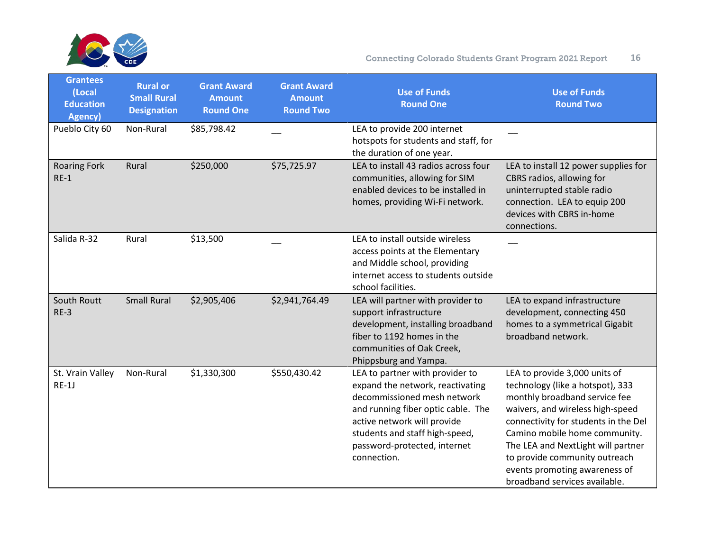

| <b>Grantees</b><br>(Local<br><b>Education</b><br><b>Agency</b> ) | <b>Rural or</b><br><b>Small Rural</b><br><b>Designation</b> | <b>Grant Award</b><br><b>Amount</b><br><b>Round One</b> | <b>Grant Award</b><br><b>Amount</b><br><b>Round Two</b> | <b>Use of Funds</b><br><b>Round One</b>                                                                                                                                                                                                                  | <b>Use of Funds</b><br><b>Round Two</b>                                                                                                                                                                                                                                                                                                                  |
|------------------------------------------------------------------|-------------------------------------------------------------|---------------------------------------------------------|---------------------------------------------------------|----------------------------------------------------------------------------------------------------------------------------------------------------------------------------------------------------------------------------------------------------------|----------------------------------------------------------------------------------------------------------------------------------------------------------------------------------------------------------------------------------------------------------------------------------------------------------------------------------------------------------|
| Pueblo City 60                                                   | Non-Rural                                                   | \$85,798.42                                             |                                                         | LEA to provide 200 internet<br>hotspots for students and staff, for<br>the duration of one year.                                                                                                                                                         |                                                                                                                                                                                                                                                                                                                                                          |
| <b>Roaring Fork</b><br>$RE-1$                                    | Rural                                                       | \$250,000                                               | \$75,725.97                                             | LEA to install 43 radios across four<br>communities, allowing for SIM<br>enabled devices to be installed in<br>homes, providing Wi-Fi network.                                                                                                           | LEA to install 12 power supplies for<br>CBRS radios, allowing for<br>uninterrupted stable radio<br>connection. LEA to equip 200<br>devices with CBRS in-home<br>connections.                                                                                                                                                                             |
| Salida R-32                                                      | Rural                                                       | \$13,500                                                |                                                         | LEA to install outside wireless<br>access points at the Elementary<br>and Middle school, providing<br>internet access to students outside<br>school facilities.                                                                                          |                                                                                                                                                                                                                                                                                                                                                          |
| South Routt<br>$RE-3$                                            | <b>Small Rural</b>                                          | \$2,905,406                                             | \$2,941,764.49                                          | LEA will partner with provider to<br>support infrastructure<br>development, installing broadband<br>fiber to 1192 homes in the<br>communities of Oak Creek,<br>Phippsburg and Yampa.                                                                     | LEA to expand infrastructure<br>development, connecting 450<br>homes to a symmetrical Gigabit<br>broadband network.                                                                                                                                                                                                                                      |
| St. Vrain Valley<br>$RE-1J$                                      | Non-Rural                                                   | \$1,330,300                                             | \$550,430.42                                            | LEA to partner with provider to<br>expand the network, reactivating<br>decommissioned mesh network<br>and running fiber optic cable. The<br>active network will provide<br>students and staff high-speed,<br>password-protected, internet<br>connection. | LEA to provide 3,000 units of<br>technology (like a hotspot), 333<br>monthly broadband service fee<br>waivers, and wireless high-speed<br>connectivity for students in the Del<br>Camino mobile home community.<br>The LEA and NextLight will partner<br>to provide community outreach<br>events promoting awareness of<br>broadband services available. |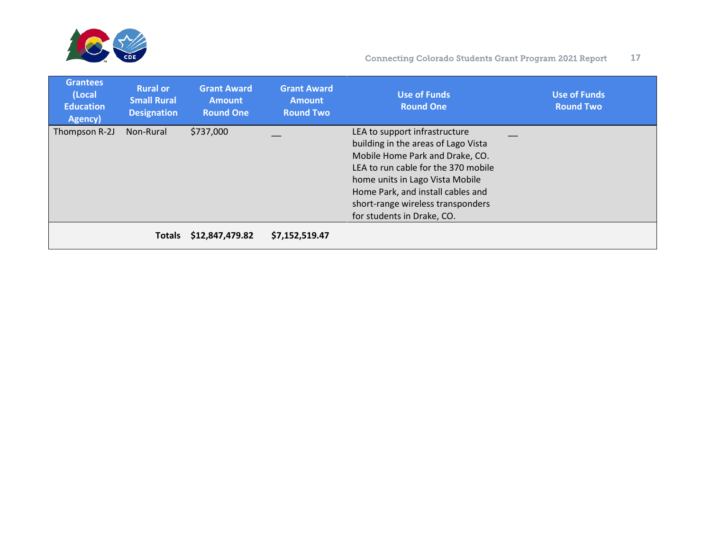

| <b>Grantees</b><br>(Local<br><b>Education</b><br>Agency) | <b>Rural or</b><br><b>Small Rural</b><br><b>Designation</b> | <b>Grant Award</b><br><b>Amount</b><br><b>Round One</b> | <b>Grant Award</b><br><b>Amount</b><br><b>Round Two</b> | <b>Use of Funds</b><br><b>Round One</b> | <b>Use of Funds</b><br><b>Round Two</b> |
|----------------------------------------------------------|-------------------------------------------------------------|---------------------------------------------------------|---------------------------------------------------------|-----------------------------------------|-----------------------------------------|
| Thompson R-2J                                            | Non-Rural                                                   | \$737,000                                               |                                                         | LEA to support infrastructure           |                                         |
|                                                          |                                                             |                                                         |                                                         | building in the areas of Lago Vista     |                                         |
|                                                          |                                                             |                                                         |                                                         | Mobile Home Park and Drake, CO.         |                                         |
|                                                          |                                                             |                                                         |                                                         | LEA to run cable for the 370 mobile     |                                         |
|                                                          |                                                             |                                                         |                                                         | home units in Lago Vista Mobile         |                                         |
|                                                          |                                                             |                                                         |                                                         | Home Park, and install cables and       |                                         |
|                                                          |                                                             |                                                         |                                                         | short-range wireless transponders       |                                         |
|                                                          |                                                             |                                                         |                                                         | for students in Drake, CO.              |                                         |
|                                                          | <b>Totals</b>                                               | \$12,847,479.82                                         | \$7,152,519.47                                          |                                         |                                         |